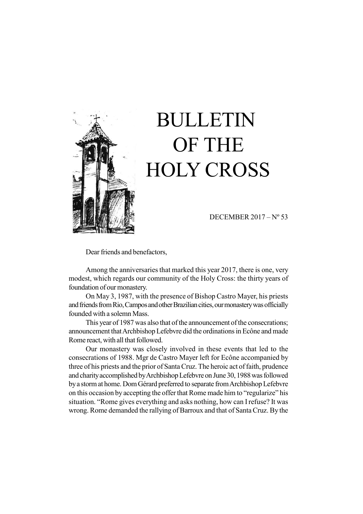

# BULLETIN OF THE HOLY CROSS

DECEMBER 2017 – Nº 53

Dear friends and benefactors,

Among the anniversaries that marked this year 2017, there is one, very modest, which regards our community of the Holy Cross: the thirty years of foundation of our monastery.

On May 3, 1987, with the presence of Bishop Castro Mayer, his priests and friends from Rio, Campos and other Brazilian cities, our monastery was officially founded with a solemn Mass.

This year of 1987 was also that of the announcement of the consecrations; announcement that Archbishop Lefebvre did the ordinations in Ecône and made Rome react, with all that followed.

Our monastery was closely involved in these events that led to the consecrations of 1988. Mgr de Castro Mayer left for Ecône accompanied by three of his priests and the prior of Santa Cruz. The heroic act of faith, prudence and charity accomplished by Archbishop Lefebvre on June 30, 1988 was followed by a storm at home. Dom Gérard preferred to separate from Archbishop Lefebvre on this occasion by accepting the offer that Rome made him to "regularize" his situation. "Rome gives everything and asks nothing, how can I refuse? It was wrong. Rome demanded the rallying of Barroux and that of Santa Cruz. By the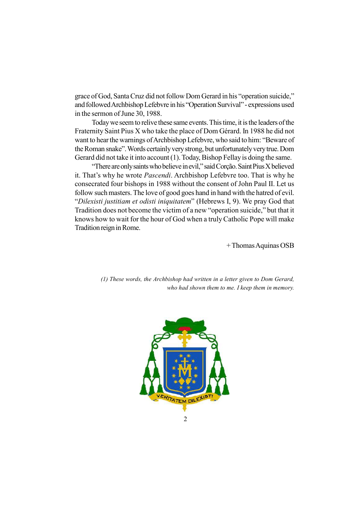grace of God, Santa Cruz did not follow Dom Gerard in his "operation suicide," and followed Archbishop Lefebvre in his "Operation Survival" - expressions used in the sermon of June 30, 1988.

Today we seem to relive these same events. This time, it is the leaders of the Fraternity Saint Pius X who take the place of Dom Gérard. In 1988 he did not want to hear the warnings of Archbishop Lefebvre, who said to him: "Beware of the Roman snake". Words certainly very strong, but unfortunately very true. Dom Gerard did not take it into account (1). Today, Bishop Fellay is doing the same.

"There are only saints who believe in evil," said Corção. Saint Pius X believed it. That's why he wrote Pascendi. Archbishop Lefebvre too. That is why he consecrated four bishops in 1988 without the consent of John Paul II. Let us follow such masters. The love of good goes hand in hand with the hatred of evil. "Dilexisti justitiam et odisti iniquitatem" (Hebrews I, 9). We pray God that Tradition does not become the victim of a new "operation suicide," but that it knows how to wait for the hour of God when a truly Catholic Pope will make Tradition reign in Rome.

+ Thomas Aquinas OSB

(1) These words, the Archbishop had written in a letter given to Dom Gerard, who had shown them to me. I keep them in memory.

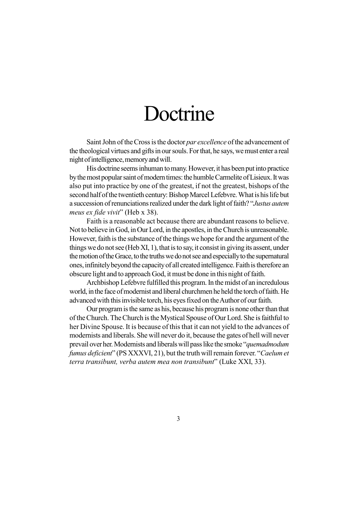### Doctrine

Saint John of the Cross is the doctor par excellence of the advancement of the theological virtues and gifts in our souls. For that, he says, we must enter a real night of intelligence, memory and will.

His doctrine seems inhuman to many. However, it has been put into practice by the most popular saint of modern times: the humble Carmelite of Lisieux. It was also put into practice by one of the greatest, if not the greatest, bishops of the second half of the twentieth century: Bishop Marcel Lefebvre. What is his life but a succession of renunciations realized under the dark light of faith? "Justus autem meus ex fide vivit" (Heb x 38).

Faith is a reasonable act because there are abundant reasons to believe. Not to believe in God, in Our Lord, in the apostles, in the Church is unreasonable. However, faith is the substance of the things we hope for and the argument of the things we do not see (Heb XI, 1), that is to say, it consist in giving its assent, under the motion of the Grace, to the truths we do not see and especially to the supernatural ones, infinitely beyond the capacity of all created intelligence. Faith is therefore an obscure light and to approach God, it must be done in this night of faith.

Archbishop Lefebvre fulfilled this program. In the midst of an incredulous world, in the face of modernist and liberal churchmen he held the torch of faith. He advanced with this invisible torch, his eyes fixed on the Author of our faith.

Our program is the same as his, because his program is none other than that of the Church. The Church is the Mystical Spouse of Our Lord. She is faithful to her Divine Spouse. It is because of this that it can not yield to the advances of modernists and liberals. She will never do it, because the gates of hell will never prevail over her. Modernists and liberals will pass like the smoke "quemadmodum fumus deficient" (PS XXXVI, 21), but the truth will remain forever. "Caelum et terra transibunt, verba autem mea non transibunt" (Luke XXI, 33).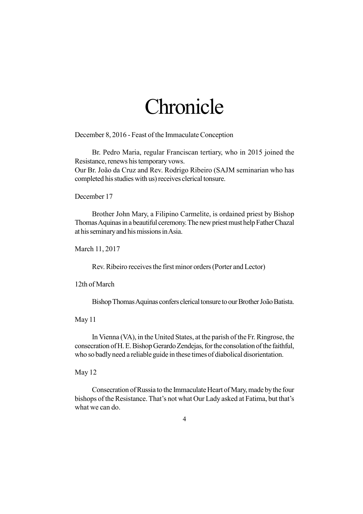### Chronicle

December 8, 2016 - Feast of the Immaculate Conception

Br. Pedro Maria, regular Franciscan tertiary, who in 2015 joined the Resistance, renews his temporary vows. Our Br. João da Cruz and Rev. Rodrigo Ribeiro (SAJM seminarian who has completed his studies with us) receives clerical tonsure.

December 17

Brother John Mary, a Filipino Carmelite, is ordained priest by Bishop Thomas Aquinas in a beautiful ceremony. The new priest must help Father Chazal at his seminary and his missions in Asia.

March 11, 2017

Rev. Ribeiro receives the first minor orders (Porter and Lector)

12th of March

Bishop Thomas Aquinas confers clerical tonsure to our Brother João Batista.

May 11

In Vienna (VA), in the United States, at the parish of the Fr. Ringrose, the consecration of H. E. Bishop Gerardo Zendejas, for the consolation of the faithful, who so badly need a reliable guide in these times of diabolical disorientation.

May 12

Consecration of Russia to the Immaculate Heart of Mary, made by the four bishops of the Resistance. That's not what Our Lady asked at Fatima, but that's what we can do.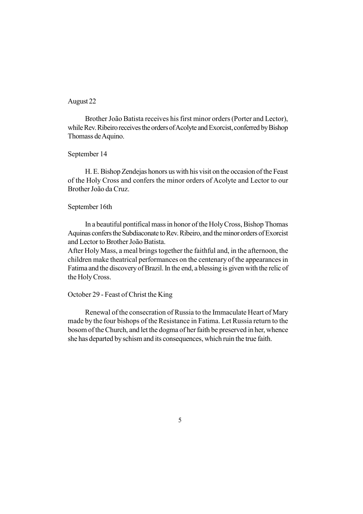### August 22

Brother João Batista receives his first minor orders (Porter and Lector), while Rev. Ribeiro receives the orders of Acolyte and Exorcist, conferred by Bishop Thomass de Aquino.

#### September 14

H. E. Bishop Zendejas honors us with his visit on the occasion of the Feast of the Holy Cross and confers the minor orders of Acolyte and Lector to our Brother João da Cruz.

#### September 16th

In a beautiful pontifical mass in honor of the Holy Cross, Bishop Thomas Aquinas confers the Subdiaconate to Rev. Ribeiro, and the minor orders of Exorcist and Lector to Brother João Batista.

After Holy Mass, a meal brings together the faithful and, in the afternoon, the children make theatrical performances on the centenary of the appearances in Fatima and the discovery of Brazil. In the end, a blessing is given with the relic of the Holy Cross.

### October 29 - Feast of Christ the King

Renewal of the consecration of Russia to the Immaculate Heart of Mary made by the four bishops of the Resistance in Fatima. Let Russia return to the bosom of the Church, and let the dogma of her faith be preserved in her, whence she has departed by schism and its consequences, which ruin the true faith.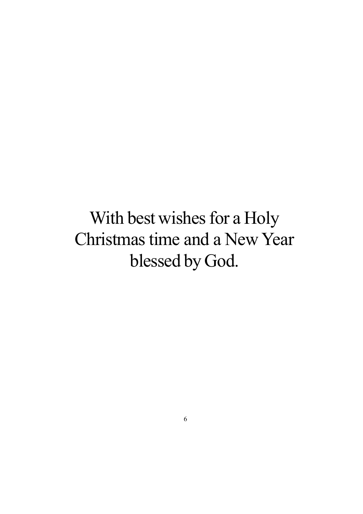With best wishes for a Holy Christmas time and a New Year blessed by God.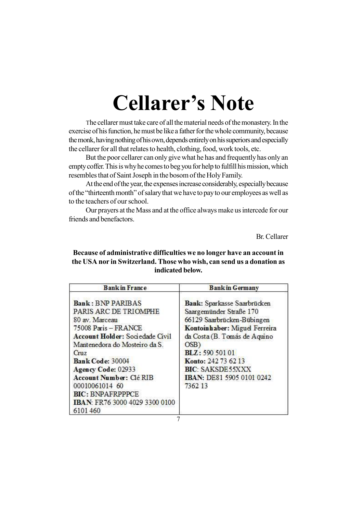## Cellarer's Note

The cellarer must take care of all the material needs of the monastery. In the exercise of his function, he must be like a father for the whole community, because the monk, having nothing of his own, depends entirely on his superiors and especially the cellarer for all that relates to health, clothing, food, work tools, etc.

But the poor cellarer can only give what he has and frequently has only an empty coffer. This is why he comes to beg you for help to fulfill his mission, which resembles that of Saint Joseph in the bosom of the Holy Family.

At the end of the year, the expenses increase considerably, especially because of the "thirteenth month" of salary that we have to pay to our employees as well as to the teachers of our school.

Our prayers at the Mass and at the office always make us intercede for our friends and benefactors.

Br. Cellarer

### Because of administrative difficulties we no longer have an account in the USA nor in Switzerland. Those who wish, can send us a donation as indicated below.

| <b>Bankin France</b>                                                                                                                                                                                                                                                                                                                                     | <b>Bankin Germany</b>                                                                                                                                                                                                                                                      |
|----------------------------------------------------------------------------------------------------------------------------------------------------------------------------------------------------------------------------------------------------------------------------------------------------------------------------------------------------------|----------------------------------------------------------------------------------------------------------------------------------------------------------------------------------------------------------------------------------------------------------------------------|
| <b>Bank: BNP PARIBAS</b><br>PARIS ARC DE TRIOMPHE<br>80 av. Marceau<br>75008 Paris - FRANCE<br><b>Account Holder: Sociedade Civil</b><br>Mantenedora do Mosteiro da S.<br>C <sub>TL</sub><br>Bank Code: 30004<br>Agency Code: 02933<br>Account Number: Clé RIB<br>00010061014 60<br><b>BIC: BNPAFRPPPCE</b><br>IBAN: FR76 3000 4029 3300 0100<br>6101460 | Bank: Sparkasse Saarbrücken<br>Saargemünder Straße 170<br>66129 Saarbrücken-Bübingen<br>Kontoinhaber: Miguel Ferreira<br>da Costa (B. Tomás de Aquino<br>OSB)<br>BLZ: 590 501 01<br>Konto: 242 73 62 13<br><b>BIC: SAKSDE55XXX</b><br>IBAN: DE81 5905 0101 0242<br>7362 13 |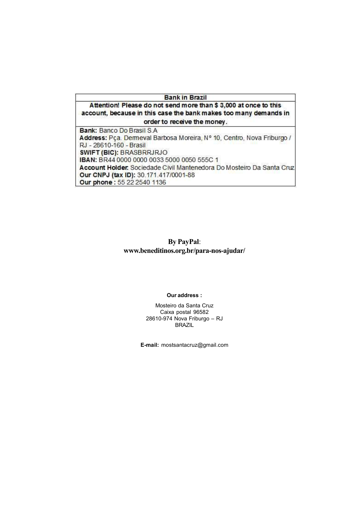#### **Bank in Brazil**

Attention! Please do not send more than \$ 3,000 at once to this account, because in this case the bank makes too many demands in order to receive the money.

**Bank: Banco Do Brasil S.A.** Address: Pça. Demeval Barbosa Moreira, Nº 10, Centro, Nova Friburgo / RJ - 28610-160 - Brasil **SWIFT (BIC): BRASBRRJRJO** IBAN: BR44 0000 0000 0033 5000 0050 555C 1 Account Holder: Sociedade Civil Mantenedora Do Mosteiro Da Santa Cruz Our CNPJ (tax ID): 30.171.417/0001-88 Our phone: 55 22 2540 1136

### By PayPal: www.beneditinos.org.br/para-nos-ajudar/

#### Our address :

Mosteiro da Santa Cruz Caixa postal 96582 28610-974 Nova Friburgo – RJ BRAZIL

E-mail: mostsantacruz@gmail.com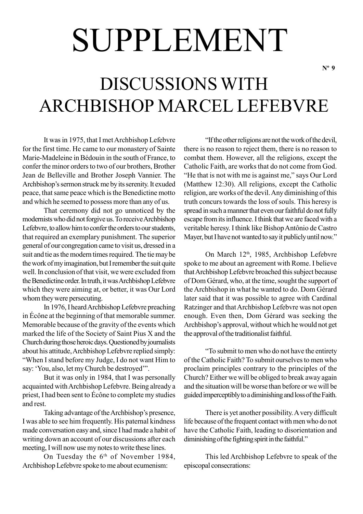# SUPPLEMENT

## DISCUSSIONS WITH ARCHBISHOP MARCEL LEFEBVRE

It was in 1975, that I met Archbishop Lefebvre for the first time. He came to our monastery of Sainte Marie-Madeleine in Bédouin in the south of France, to confer the minor orders to two of our brothers, Brother Jean de Belleville and Brother Joseph Vannier. The Archbishop's sermon struck me by its serenity. It exuded peace, that same peace which is the Benedictine motto and which he seemed to possess more than any of us.

That ceremony did not go unnoticed by the modernists who did not forgive us. To receive Archbishop Lefebvre, to allow him to confer the orders to our students, that required an exemplary punishment. The superior general of our congregation came to visit us, dressed in a suit and tie as the modern times required. The tie may be the work of my imagination, but I remember the suit quite well. In conclusion of that visit, we were excluded from the Benedictine order. In truth, it was Archbishop Lefebvre which they were aiming at, or better, it was Our Lord whom they were persecuting.

In 1976, I heard Archbishop Lefebvre preaching in Écône at the beginning of that memorable summer. Memorable because of the gravity of the events which marked the life of the Society of Saint Pius X and the Church during those heroic days. Questioned by journalists about his attitude, Archbishop Lefebvre replied simply: "When I stand before my Judge, I do not want Him to say: 'You, also, let my Church be destroyed'".

But it was only in 1984, that I was personally acquainted with Archbishop Lefebvre. Being already a priest, I had been sent to Écône to complete my studies and rest.

Taking advantage of the Archbishop's presence, I was able to see him frequently. His paternal kindness made conversation easy and, since I had made a habit of writing down an account of our discussions after each meeting, I will now use my notes to write these lines.

On Tuesday the 6<sup>th</sup> of November 1984, Archbishop Lefebvre spoke to me about ecumenism:

"If the other religions are not the work of the devil, there is no reason to reject them, there is no reason to combat them. However, all the religions, except the Catholic Faith, are works that do not come from God. "He that is not with me is against me," says Our Lord (Matthew 12:30). All religions, except the Catholic religion, are works of the devil. Any diminishing of this truth concurs towards the loss of souls. This heresy is spread in such a manner that even our faithful do not fully escape from its influence. I think that we are faced with a veritable heresy. I think like Bishop Antônio de Castro Mayer, but I have not wanted to say it publicly until now."

On March 12<sup>th</sup>, 1985, Archbishop Lefebvre spoke to me about an agreement with Rome. I believe that Archbishop Lefebvre broached this subject because of Dom Gérard, who, at the time, sought the support of the Archbishop in what he wanted to do. Dom Gérard later said that it was possible to agree with Cardinal Ratzinger and that Archbishop Lefebvre was not open enough. Even then, Dom Gérard was seeking the Archbishop's approval, without which he would not get the approval of the traditionalist faithful.

"To submit to men who do not have the entirety of the Catholic Faith? To submit ourselves to men who proclaim principles contrary to the principles of the Church? Either we will be obliged to break away again and the situation will be worse than before or we will be guided imperceptibly to a diminishing and loss of the Faith.

There is yet another possibility. A very difficult life because of the frequent contact with men who do not have the Catholic Faith, leading to disorientation and diminishing of the fighting spirit in the faithful."

This led Archbishop Lefebvre to speak of the episcopal consecrations: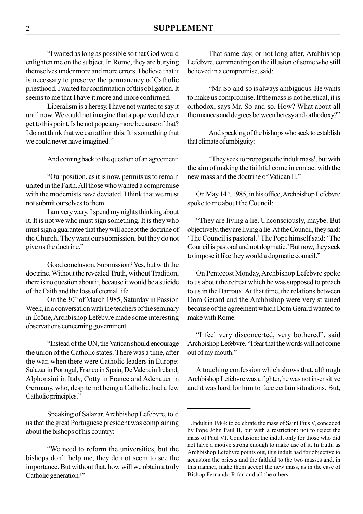"I waited as long as possible so that God would enlighten me on the subject. In Rome, they are burying themselves under more and more errors. I believe that it is necessary to preserve the permanency of Catholic priesthood. I waited for confirmation of this obligation. It seems to me that I have it more and more confirmed.

Liberalism is a heresy. I have not wanted to say it until now. We could not imagine that a pope would ever get to this point. Is he not pope anymore because of that? I do not think that we can affirm this. It is something that we could never have imagined."

And coming back to the question of an agreement:

"Our position, as it is now, permits us to remain united in the Faith. All those who wanted a compromise with the modernists have deviated. I think that we must not submit ourselves to them.

I am very wary. I spend my nights thinking about it. It is not we who must sign something. It is they who must sign a guarantee that they will accept the doctrine of the Church. They want our submission, but they do not give us the doctrine."

Good conclusion. Submission? Yes, but with the doctrine. Without the revealed Truth, without Tradition, there is no question about it, because it would be a suicide of the Faith and the loss of eternal life.

On the 30<sup>th</sup> of March 1985, Saturday in Passion Week, in a conversation with the teachers of the seminary in Écône, Archbishop Lefebvre made some interesting observations concerning government.

"Instead of the UN, the Vatican should encourage the union of the Catholic states. There was a time, after the war, when there were Catholic leaders in Europe: Salazar in Portugal, Franco in Spain, De Valéra in Ireland, Alphonsini in Italy, Cotty in France and Adenauer in Germany, who, despite not being a Catholic, had a few Catholic principles."

Speaking of Salazar, Archbishop Lefebvre, told us that the great Portuguese president was complaining about the bishops of his country:

"We need to reform the universities, but the bishops don't help me, they do not seem to see the importance. But without that, how will we obtain a truly Catholic generation?"

That same day, or not long after, Archbishop Lefebvre, commenting on the illusion of some who still believed in a compromise, said:

"Mr. So-and-so is always ambiguous. He wants to make us compromise. If the mass is not heretical, it is orthodox, says Mr. So-and-so. How? What about all the nuances and degrees between heresy and orthodoxy?"

And speaking of the bishops who seek to establish that climate of ambiguity:

"They seek to propagate the indult mass<sup>1</sup>, but with the aim of making the faithful come in contact with the new mass and the doctrine of Vatican II."

On May 14<sup>th</sup>, 1985, in his office, Archbishop Lefebvre spoke to me about the Council:

"They are living a lie. Unconsciously, maybe. But objectively, they are living a lie. At the Council, they said: 'The Council is pastoral.' The Pope himself said: 'The Council is pastoral and not dogmatic.' But now, they seek to impose it like they would a dogmatic council."

On Pentecost Monday, Archbishop Lefebvre spoke to us about the retreat which he was supposed to preach to us in the Barroux. At that time, the relations between Dom Gérard and the Archbishop were very strained because of the agreement which Dom Gérard wanted to make with Rome.

"I feel very disconcerted, very bothered", said Archbishop Lefebvre. "I fear that the words will not come out of my mouth."

A touching confession which shows that, although Archbishop Lefebvre was a fighter, he was not insensitive and it was hard for him to face certain situations. But,

<sup>1.</sup>Indult in 1984: to celebrate the mass of Saint Pius V, conceded by Pope John Paul II, but with a restriction: not to reject the mass of Paul VI. Conclusion: the indult only for those who did not have a motive strong enough to make use of it. In truth, as Archbishop Lefebvre points out, this indult had for objective to accustom the priests and the faithful to the two masses and, in this manner, make them accept the new mass, as in the case of Bishop Fernando Rifan and all the others.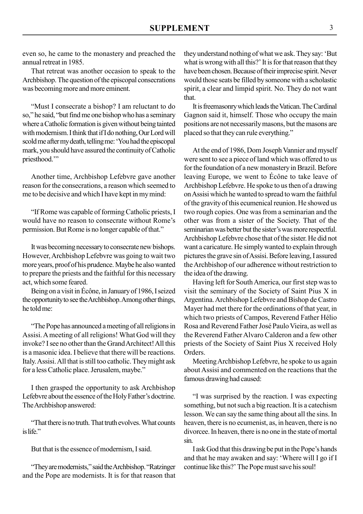even so, he came to the monastery and preached the annual retreat in 1985.

That retreat was another occasion to speak to the Archbishop. The question of the episcopal consecrations was becoming more and more eminent.

"Must I consecrate a bishop? I am reluctant to do so," he said, "but find me one bishop who has a seminary where a Catholic formation is given without being tainted with modernism. I think that if I do nothing, Our Lord will scold me after my death, telling me: 'You had the episcopal mark, you should have assured the continuity of Catholic priesthood."

Another time, Archbishop Lefebvre gave another reason for the consecrations, a reason which seemed to me to be decisive and which I have kept in my mind:

"If Rome was capable of forming Catholic priests, I would have no reason to consecrate without Rome's permission. But Rome is no longer capable of that."

It was becoming necessary to consecrate new bishops. However, Archbishop Lefebvre was going to wait two more years, proof of his prudence. Maybe he also wanted to prepare the priests and the faithful for this necessary act, which some feared.

Being on a visit in Écône, in January of 1986, I seized the opportunity to see the Archbishop. Among other things, he told me:

"The Pope has announced a meeting of all religions in Assisi. A meeting of all religions! What God will they invoke? I see no other than the Grand Architect! All this is a masonic idea. I believe that there will be reactions. Italy. Assisi. All that is still too catholic. They might ask for a less Catholic place. Jerusalem, maybe."

I then grasped the opportunity to ask Archbishop Lefebvre about the essence of the Holy Father's doctrine. The Archbishop answered:

"That there is no truth. That truth evolves. What counts is life."

But that is the essence of modernism, I said.

"They are modernists," said the Archbishop. "Ratzinger and the Pope are modernists. It is for that reason that they understand nothing of what we ask. They say: 'But what is wrong with all this?' It is for that reason that they have been chosen. Because of their imprecise spirit. Never would those seats be filled by someone with a scholastic spirit, a clear and limpid spirit. No. They do not want that.

It is freemasonry which leads the Vatican. The Cardinal Gagnon said it, himself. Those who occupy the main positions are not necessarily masons, but the masons are placed so that they can rule everything."

At the end of 1986, Dom Joseph Vannier and myself were sent to see a piece of land which was offered to us for the foundation of a new monastery in Brazil. Before leaving Europe, we went to Écône to take leave of Archbishop Lefebvre. He spoke to us then of a drawing on Assisi which he wanted to spread to warn the faithful of the gravity of this ecumenical reunion. He showed us two rough copies. One was from a seminarian and the other was from a sister of the Society. That of the seminarian was better but the sister's was more respectful. Archbishop Lefebvre chose that of the sister. He did not want a caricature. He simply wanted to explain through pictures the grave sin of Assisi. Before leaving, I assured the Archbishop of our adherence without restriction to the idea of the drawing.

Having left for South America, our first step was to visit the seminary of the Society of Saint Pius X in Argentina. Archbishop Lefebvre and Bishop de Castro Mayer had met there for the ordinations of that year, in which two priests of Campos, Reverend Father Hélio Rosa and Reverend Father José Paulo Vieira, as well as the Reverend Father Alvaro Calderon and a few other priests of the Society of Saint Pius X received Holy Orders.

Meeting Archbishop Lefebvre, he spoke to us again about Assisi and commented on the reactions that the famous drawing had caused:

"I was surprised by the reaction. I was expecting something, but not such a big reaction. It is a catechism lesson. We can say the same thing about all the sins. In heaven, there is no ecumenist, as, in heaven, there is no divorcee. In heaven, there is no one in the state of mortal sin.

I ask God that this drawing be put in the Pope's hands and that he may awaken and say: 'Where will I go if I continue like this?' The Pope must save his soul!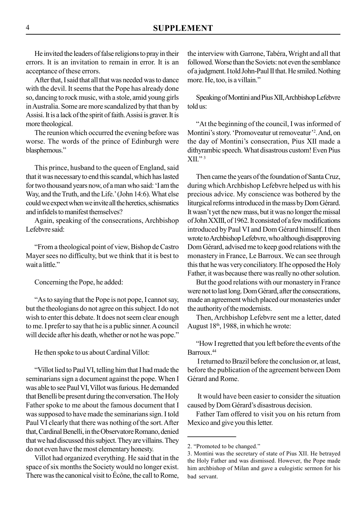He invited the leaders of false religions to pray in their errors. It is an invitation to remain in error. It is an acceptance of these errors.

After that, I said that all that was needed was to dance with the devil. It seems that the Pope has already done so, dancing to rock music, with a stole, amid young girls in Australia. Some are more scandalized by that than by Assisi. It is a lack of the spirit of faith. Assisi is graver. It is more theological.

The reunion which occurred the evening before was worse. The words of the prince of Edinburgh were blasphemous."

This prince, husband to the queen of England, said that it was necessary to end this scandal, which has lasted for two thousand years now, of a man who said: 'I am the Way, and the Truth, and the Life.' (John 14:6). What else could we expect when we invite all the heretics, schismatics and infidels to manifest themselves?

Again, speaking of the consecrations, Archbishop Lefebvre said:

"From a theological point of view, Bishop de Castro Mayer sees no difficulty, but we think that it is best to wait a little."

Concerning the Pope, he added:

"As to saying that the Pope is not pope, I cannot say, but the theologians do not agree on this subject. I do not wish to enter this debate. It does not seem clear enough to me. I prefer to say that he is a public sinner. A council will decide after his death, whether or not he was pope."

He then spoke to us about Cardinal Villot:

"Villot lied to Paul VI, telling him that I had made the seminarians sign a document against the pope. When I was able to see Paul VI, Villot was furious. He demanded that Benelli be present during the conversation. The Holy Father spoke to me about the famous document that I was supposed to have made the seminarians sign. I told Paul VI clearly that there was nothing of the sort. After that, Cardinal Benelli, in the Observatore Romano, denied that we had discussed this subject. They are villains. They do not even have the most elementary honesty.

Villot had organized everything. He said that in the space of six months the Society would no longer exist. There was the canonical visit to Écône, the call to Rome, the interview with Garrone, Tabéra, Wright and all that followed. Worse than the Soviets: not even the semblance of a judgment. I told John-Paul II that. He smiled. Nothing more. He, too, is a villain."

Speaking of Montini and Pius XII, Archbishop Lefebvre told us:

"At the beginning of the council, I was informed of Montini's story. 'Promoveatur ut removeatur'<sup>2</sup>. And, on the day of Montini's consecration, Pius XII made a dithyrambic speech. What disastrous custom! Even Pius  $XII.$ <sup>"3</sup>

Then came the years of the foundation of Santa Cruz, during which Archbishop Lefebvre helped us with his precious advice. My conscience was bothered by the liturgical reforms introduced in the mass by Dom Gérard. It wasn't yet the new mass, but it was no longer the missal of John XXIII, of 1962. It consisted of a few modifications introduced by Paul VI and Dom Gérard himself. I then wrote to Archbishop Lefebvre, who although disapproving Dom Gérard, advised me to keep good relations with the monastery in France, Le Barroux. We can see through this that he was very conciliatory. If he opposed the Holy Father, it was because there was really no other solution.

But the good relations with our monastery in France were not to last long. Dom Gérard, after the consecrations, made an agreement which placed our monasteries under the authority of the modernists.

Then, Archbishop Lefebvre sent me a letter, dated August 18th, 1988, in which he wrote:

"How I regretted that you left before the events of the Barroux<sup>44</sup>

 I returned to Brazil before the conclusion or, at least, before the publication of the agreement between Dom Gérard and Rome.

 It would have been easier to consider the situation caused by Dom Gérard's disastrous decision.

Father Tam offered to visit you on his return from Mexico and give you this letter.

<sup>2. &</sup>quot;Promoted to be changed."

<sup>3.</sup> Montini was the secretary of state of Pius XII. He betrayed the Holy Father and was dismissed. However, the Pope made him archbishop of Milan and gave a eulogistic sermon for his bad servant.